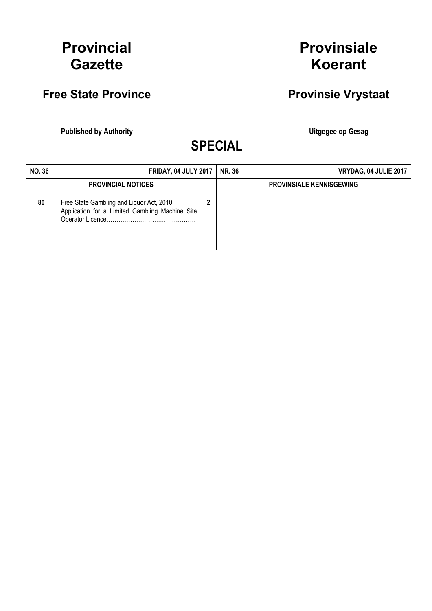## Provincial **Gazette**

## Free State Province **Provinsie Vrystaat**

Published by Authority **National Execution Control Control Control Control Control Control Control Control Control Control Control Control Control Control Control Control Control Control Control Control Control Control Con** 

Provinsiale

Koerant

SPECIAL

| <b>NO.36</b> | <b>FRIDAY, 04 JULY 2017</b>                                                                                              |  | <b>NR. 36</b> | VRYDAG, 04 JULIE 2017           |
|--------------|--------------------------------------------------------------------------------------------------------------------------|--|---------------|---------------------------------|
| 80           | <b>PROVINCIAL NOTICES</b><br>Free State Gambling and Liquor Act, 2010<br>Application for a Limited Gambling Machine Site |  |               | <b>PROVINSIALE KENNISGEWING</b> |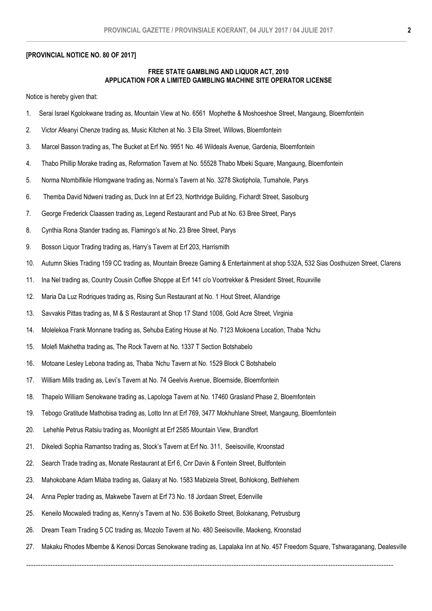## [PROVINCIAL NOTICE NO. 80 OF 2017]

## FREE STATE GAMBLING AND LIQUOR ACT, 2010 APPLICATION FOR A LIMITED GAMBLING MACHINE SITE OPERATOR LICENSE

Notice is hereby given that:

- 1. Serai Israel Kgolokwane trading as, Mountain View at No. 6561 Mophethe & Moshoeshoe Street, Mangaung, Bloemfontein
- 2. Victor Afeanyi Chenze trading as, Music Kitchen at No. 3 Ella Street, Willows, Bloemfontein
- 3. Marcel Basson trading as, The Bucket at Erf No. 9951 No. 46 Wildeals Avenue, Gardenia, Bloemfontein
- 4. Thabo Phillip Morake trading as, Reformation Tavern at No. 55528 Thabo Mbeki Square, Mangaung, Bloemfontein
- 5. Norma Ntombifikile Hlomgwane trading as, Norma's Tavern at No. 3278 Skotiphola, Tumahole, Parys
- 6. Themba David Ndweni trading as, Duck Inn at Erf 23, Northridge Building, Fichardt Street, Sasolburg
- 7. George Frederick Claassen trading as, Legend Restaurant and Pub at No. 63 Bree Street, Parys
- 8. Cynthia Rona Stander trading as, Flamingo's at No. 23 Bree Street, Parys
- 9. Bosson Liquor Trading trading as, Harry's Tavern at Erf 203, Harrismith
- 10. Autumn Skies Trading 159 CC trading as, Mountain Breeze Gaming & Entertainment at shop 532A, 532 Sias Oosthuizen Street, Clarens
- 11. Ina Nel trading as, Country Cousin Coffee Shoppe at Erf 141 c/o Voortrekker & President Street, Rouxville
- 12. Maria Da Luz Rodriques trading as, Rising Sun Restaurant at No. 1 Hout Street, Allandrige
- 13. Savvakis Pittas trading as, M & S Restaurant at Shop 17 Stand 1008, Gold Acre Street, Virginia
- 14. Molelekoa Frank Monnane trading as, Sehuba Eating House at No. 7123 Mokoena Location, Thaba 'Nchu
- 15. Molefi Makhetha trading as, The Rock Tavern at No. 1337 T Section Botshabelo
- 16. Motoane Lesley Lebona trading as, Thaba 'Nchu Tavern at No. 1529 Block C Botshabelo
- 17. William Mills trading as, Levi's Tavern at No. 74 Geelvis Avenue, Bloemside, Bloemfontein
- 18. Thapelo William Senokwane trading as, Lapologa Tavern at No. 17460 Grasland Phase 2, Bloemfontein
- 19. Tebogo Gratitude Mathobisa trading as, Lotto Inn at Erf 769, 3477 Mokhuhlane Street, Mangaung, Bloemfontein
- 20. Lehehle Petrus Ratsiu trading as, Moonlight at Erf 2585 Mountain View, Brandfort
- 21. Dikeledi Sophia Ramantso trading as, Stock's Tavern at Erf No. 311, Seeisoville, Kroonstad
- 22. Search Trade trading as, Monate Restaurant at Erf 6, Cnr Davin & Fontein Street, Bultfontein
- 23. Mahokobane Adam Mlaba trading as, Galaxy at No. 1583 Mabizela Street, Bohlokong, Bethlehem
- 24. Anna Pepler trading as, Makwebe Tavern at Erf 73 No. 18 Jordaan Street, Edenville
- 25. Keneilo Mocwaledi trading as, Kenny's Tavern at No. 536 Boiketlo Street, Bolokanang, Petrusburg
- 26. Dream Team Trading 5 CC trading as, Mozolo Tavern at No. 480 Seeisoville, Maokeng, Kroonstad
- 27. Makaku Rhodes Mbembe & Kenosi Dorcas Senokwane trading as, Lapalaka Inn at No. 457 Freedom Square, Tshwaraganang, Dealesville

--------------------------------------------------------------------------------------------------------------------------------------------------------